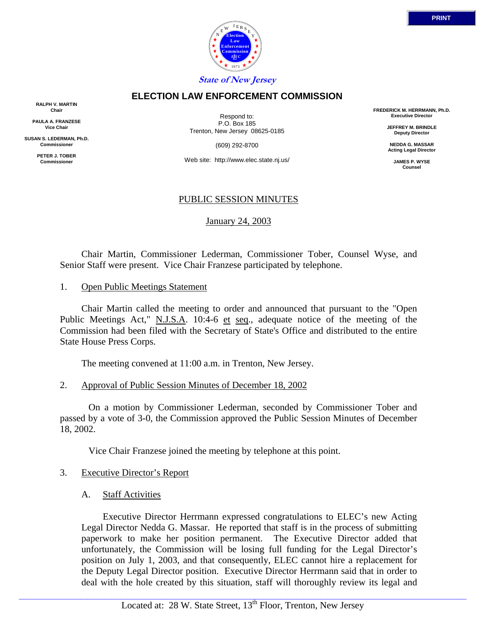

#### **ELECTION LAW ENFORCEMENT COMMISSION**

**RALPH V. MARTIN Chair**

**PAULA A. FRANZESE Vice Chair**

**SUSAN S. LEDERMAN, Ph.D. Commissioner**

> **PETER J. TOBER Commissioner**

Respond to: P.O. Box 185 Trenton, New Jersey 08625-0185

(609) 292-8700

Web site: http://www.elec.state.nj.us/

## PUBLIC SESSION MINUTES

January 24, 2003

 Chair Martin, Commissioner Lederman, Commissioner Tober, Counsel Wyse, and Senior Staff were present. Vice Chair Franzese participated by telephone.

1. Open Public Meetings Statement

 Chair Martin called the meeting to order and announced that pursuant to the "Open Public Meetings Act," N.J.S.A. 10:4-6 et seq., adequate notice of the meeting of the Commission had been filed with the Secretary of State's Office and distributed to the entire State House Press Corps.

The meeting convened at 11:00 a.m. in Trenton, New Jersey.

2. Approval of Public Session Minutes of December 18, 2002

 On a motion by Commissioner Lederman, seconded by Commissioner Tober and passed by a vote of 3-0, the Commission approved the Public Session Minutes of December 18, 2002.

Vice Chair Franzese joined the meeting by telephone at this point.

- 3. Executive Director's Report
	- A. Staff Activities

Executive Director Herrmann expressed congratulations to ELEC's new Acting Legal Director Nedda G. Massar. He reported that staff is in the process of submitting paperwork to make her position permanent. The Executive Director added that unfortunately, the Commission will be losing full funding for the Legal Director's position on July 1, 2003, and that consequently, ELEC cannot hire a replacement for the Deputy Legal Director position. Executive Director Herrmann said that in order to deal with the hole created by this situation, staff will thoroughly review its legal and

**FREDERICK M. HERRMANN, Ph.D. Executive Director**

> **JEFFREY M. BRINDLE Deputy Director**

**NEDDA G. MASSAR Acting Legal Director**

> **JAMES P. WYSE Counsel**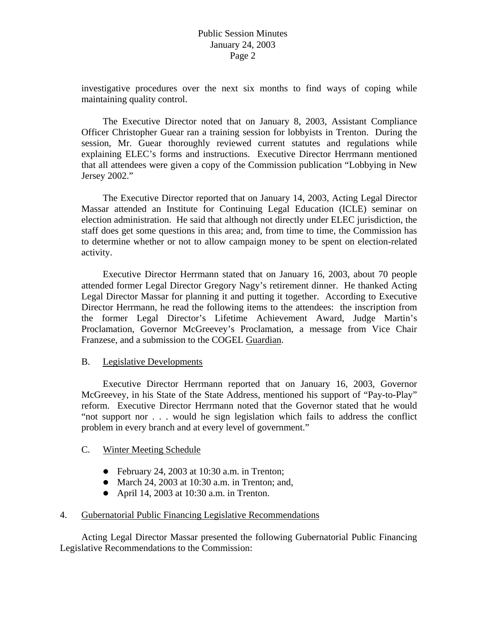investigative procedures over the next six months to find ways of coping while maintaining quality control.

The Executive Director noted that on January 8, 2003, Assistant Compliance Officer Christopher Guear ran a training session for lobbyists in Trenton. During the session, Mr. Guear thoroughly reviewed current statutes and regulations while explaining ELEC's forms and instructions. Executive Director Herrmann mentioned that all attendees were given a copy of the Commission publication "Lobbying in New Jersey 2002."

The Executive Director reported that on January 14, 2003, Acting Legal Director Massar attended an Institute for Continuing Legal Education (ICLE) seminar on election administration. He said that although not directly under ELEC jurisdiction, the staff does get some questions in this area; and, from time to time, the Commission has to determine whether or not to allow campaign money to be spent on election-related activity.

Executive Director Herrmann stated that on January 16, 2003, about 70 people attended former Legal Director Gregory Nagy's retirement dinner. He thanked Acting Legal Director Massar for planning it and putting it together. According to Executive Director Herrmann, he read the following items to the attendees: the inscription from the former Legal Director's Lifetime Achievement Award, Judge Martin's Proclamation, Governor McGreevey's Proclamation, a message from Vice Chair Franzese, and a submission to the COGEL Guardian.

## B. Legislative Developments

 Executive Director Herrmann reported that on January 16, 2003, Governor McGreevey, in his State of the State Address, mentioned his support of "Pay-to-Play" reform. Executive Director Herrmann noted that the Governor stated that he would "not support nor . . . would he sign legislation which fails to address the conflict problem in every branch and at every level of government."

## C. Winter Meeting Schedule

- $\bullet$  February 24, 2003 at 10:30 a.m. in Trenton;
- March 24, 2003 at 10:30 a.m. in Trenton; and,
- April 14, 2003 at  $10:30$  a.m. in Trenton.

## 4. Gubernatorial Public Financing Legislative Recommendations

 Acting Legal Director Massar presented the following Gubernatorial Public Financing Legislative Recommendations to the Commission: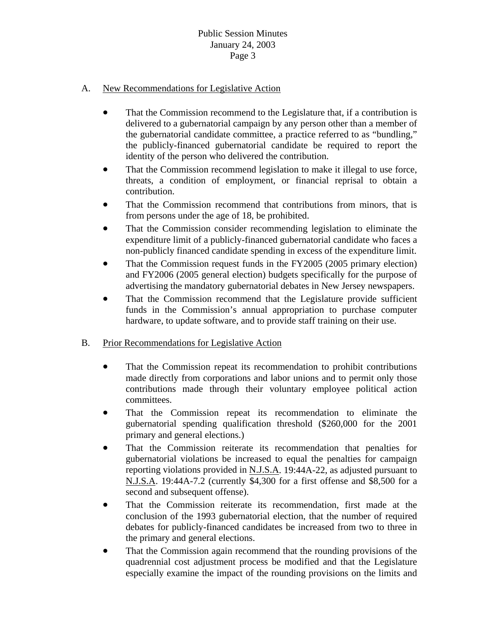# Public Session Minutes January 24, 2003 Page 3

## A. New Recommendations for Legislative Action

- That the Commission recommend to the Legislature that, if a contribution is delivered to a gubernatorial campaign by any person other than a member of the gubernatorial candidate committee, a practice referred to as "bundling," the publicly-financed gubernatorial candidate be required to report the identity of the person who delivered the contribution.
- That the Commission recommend legislation to make it illegal to use force, threats, a condition of employment, or financial reprisal to obtain a contribution.
- That the Commission recommend that contributions from minors, that is from persons under the age of 18, be prohibited.
- That the Commission consider recommending legislation to eliminate the expenditure limit of a publicly-financed gubernatorial candidate who faces a non-publicly financed candidate spending in excess of the expenditure limit.
- That the Commission request funds in the FY2005 (2005 primary election) and FY2006 (2005 general election) budgets specifically for the purpose of advertising the mandatory gubernatorial debates in New Jersey newspapers.
- That the Commission recommend that the Legislature provide sufficient funds in the Commission's annual appropriation to purchase computer hardware, to update software, and to provide staff training on their use.

## B. Prior Recommendations for Legislative Action

- That the Commission repeat its recommendation to prohibit contributions made directly from corporations and labor unions and to permit only those contributions made through their voluntary employee political action committees.
- That the Commission repeat its recommendation to eliminate the gubernatorial spending qualification threshold (\$260,000 for the 2001 primary and general elections.)
- That the Commission reiterate its recommendation that penalties for gubernatorial violations be increased to equal the penalties for campaign reporting violations provided in N.J.S.A. 19:44A-22, as adjusted pursuant to N.J.S.A. 19:44A-7.2 (currently \$4,300 for a first offense and \$8,500 for a second and subsequent offense).
- That the Commission reiterate its recommendation, first made at the conclusion of the 1993 gubernatorial election, that the number of required debates for publicly-financed candidates be increased from two to three in the primary and general elections.
- That the Commission again recommend that the rounding provisions of the quadrennial cost adjustment process be modified and that the Legislature especially examine the impact of the rounding provisions on the limits and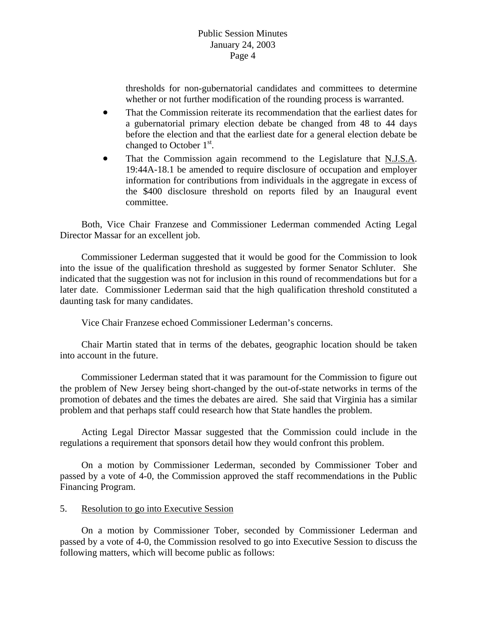whether or not further modification of the rounding process is warranted. thresholds for non-gubernatorial candidates and committees to determine

- That the Commission reiterate its recommendation that the earliest dates for a gubernatorial primary election debate be changed from 48 to 44 days before the election and that the earliest date for a general election debate be changed to October  $1<sup>st</sup>$ .
- That the Commission again recommend to the Legislature that N.J.S.A. the \$400 disclosure threshold on reports filed by an Inaugural event 19:44A-18.1 be amended to require disclosure of occupation and employer information for contributions from individuals in the aggregate in excess of committee.

 Both, Vice Chair Franzese and Commissioner Lederman commended Acting Legal Director Massar for an excellent job.

Commissioner Lederman suggested that it would be good for the Commission to look into the issue of the qualification threshold as suggested by former Senator Schluter. She indicated that the suggestion was not for inclusion in this round of recommendations but for a later date. Commissioner Lederman said that the high qualification threshold constituted a daunting task for many candidates.

Vice Chair Franzese echoed Commissioner Lederman's concerns.

 Chair Martin stated that in terms of the debates, geographic location should be taken into account in the future.

promotion of debates and the times the debates are aired. She said that Virginia has a similar Commissioner Lederman stated that it was paramount for the Commission to figure out the problem of New Jersey being short-changed by the out-of-state networks in terms of the problem and that perhaps staff could research how that State handles the problem.

regulations a requirement that sponsors detail how they would confront this problem. Acting Legal Director Massar suggested that the Commission could include in the

On a motion by Commissioner Lederman, seconded by Commissioner Tober and passed by a vote of 4-0, the Commission approved the staff recommendations in the Public Financing Program.

#### 5. Resolution to go into Executive Session

 On a motion by Commissioner Tober, seconded by Commissioner Lederman and passed by a vote of 4-0, the Commission resolved to go into Executive Session to discuss the following matters, which will become public as follows: